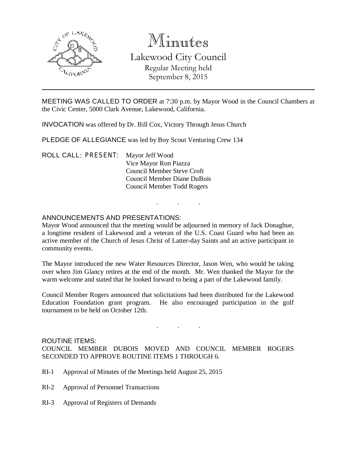

# Minutes

Lakewood City Council Regular Meeting held September 8, 2015

MEETING WAS CALLED TO ORDER at 7:30 p.m. by Mayor Wood in the Council Chambers at the Civic Center, 5000 Clark Avenue, Lakewood, California.

INVOCATION was offered by Dr. Bill Cox, Victory Through Jesus Church

PLEDGE OF ALLEGIANCE was led by Boy Scout Venturing Crew 134

ROLL CALL: PRESENT: Mayor Jeff Wood Vice Mayor Ron Piazza Council Member Steve Croft Council Member Diane DuBois Council Member Todd Rogers

### ANNOUNCEMENTS AND PRESENTATIONS:

Mayor Wood announced that the meeting would be adjourned in memory of Jack Donaghue, a longtime resident of Lakewood and a veteran of the U.S. Coast Guard who had been an active member of the Church of Jesus Christ of Latter-day Saints and an active participant in community events.

. . .

The Mayor introduced the new Water Resources Director, Jason Wen, who would be taking over when Jim Glancy retires at the end of the month. Mr. Wen thanked the Mayor for the warm welcome and stated that he looked forward to being a part of the Lakewood family.

Council Member Rogers announced that solicitations had been distributed for the Lakewood Education Foundation grant program. He also encouraged participation in the golf tournament to be held on October 12th.

. . .

#### ROUTINE ITEMS:

COUNCIL MEMBER DUBOIS MOVED AND COUNCIL MEMBER ROGERS SECONDED TO APPROVE ROUTINE ITEMS 1 THROUGH 6.

- RI-1 Approval of Minutes of the Meetings held August 25, 2015
- RI-2 Approval of Personnel Transactions
- RI-3 Approval of Registers of Demands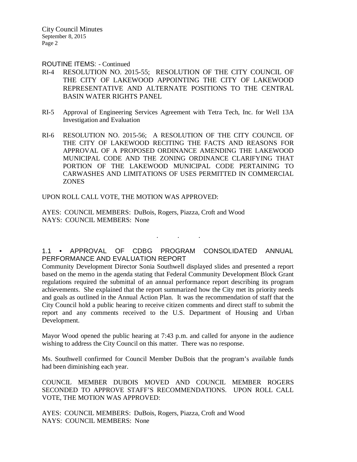City Council Minutes September 8, 2015 Page 2

ROUTINE ITEMS: - Continued

- RI-4 RESOLUTION NO. 2015-55; RESOLUTION OF THE CITY COUNCIL OF THE CITY OF LAKEWOOD APPOINTING THE CITY OF LAKEWOOD REPRESENTATIVE AND ALTERNATE POSITIONS TO THE CENTRAL BASIN WATER RIGHTS PANEL
- RI-5 Approval of Engineering Services Agreement with Tetra Tech, Inc. for Well 13A Investigation and Evaluation
- RI-6 RESOLUTION NO. 2015-56; A RESOLUTION OF THE CITY COUNCIL OF THE CITY OF LAKEWOOD RECITING THE FACTS AND REASONS FOR APPROVAL OF A PROPOSED ORDINANCE AMENDING THE LAKEWOOD MUNICIPAL CODE AND THE ZONING ORDINANCE CLARIFYING THAT PORTION OF THE LAKEWOOD MUNICIPAL CODE PERTAINING TO CARWASHES AND LIMITATIONS OF USES PERMITTED IN COMMERCIAL **ZONES**

UPON ROLL CALL VOTE, THE MOTION WAS APPROVED:

AYES: COUNCIL MEMBERS: DuBois, Rogers, Piazza, Croft and Wood NAYS: COUNCIL MEMBERS: None

1.1 • APPROVAL OF CDBG PROGRAM CONSOLIDATED ANNUAL PERFORMANCE AND EVALUATION REPORT

. . .

Community Development Director Sonia Southwell displayed slides and presented a report based on the memo in the agenda stating that Federal Community Development Block Grant regulations required the submittal of an annual performance report describing its program achievements. She explained that the report summarized how the City met its priority needs and goals as outlined in the Annual Action Plan. It was the recommendation of staff that the City Council hold a public hearing to receive citizen comments and direct staff to submit the report and any comments received to the U.S. Department of Housing and Urban Development.

Mayor Wood opened the public hearing at 7:43 p.m. and called for anyone in the audience wishing to address the City Council on this matter. There was no response.

Ms. Southwell confirmed for Council Member DuBois that the program's available funds had been diminishing each year.

COUNCIL MEMBER DUBOIS MOVED AND COUNCIL MEMBER ROGERS SECONDED TO APPROVE STAFF'S RECOMMENDATIONS. UPON ROLL CALL VOTE, THE MOTION WAS APPROVED:

AYES: COUNCIL MEMBERS: DuBois, Rogers, Piazza, Croft and Wood NAYS: COUNCIL MEMBERS: None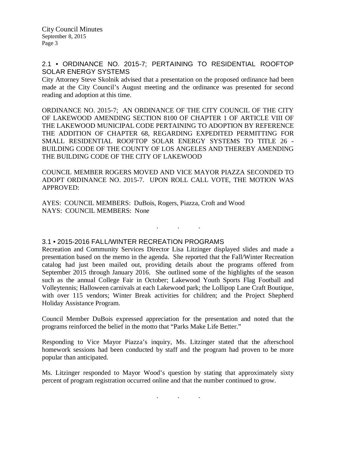#### 2.1 • ORDINANCE NO. 2015-7; PERTAINING TO RESIDENTIAL ROOFTOP SOLAR ENERGY SYSTEMS

City Attorney Steve Skolnik advised that a presentation on the proposed ordinance had been made at the City Council's August meeting and the ordinance was presented for second reading and adoption at this time.

ORDINANCE NO. 2015-7; AN ORDINANCE OF THE CITY COUNCIL OF THE CITY OF LAKEWOOD AMENDING SECTION 8100 OF CHAPTER 1 OF ARTICLE VIII OF THE LAKEWOOD MUNICIPAL CODE PERTAINING TO ADOPTION BY REFERENCE THE ADDITION OF CHAPTER 68, REGARDING EXPEDITED PERMITTING FOR SMALL RESIDENTIAL ROOFTOP SOLAR ENERGY SYSTEMS TO TITLE 26 - BUILDING CODE OF THE COUNTY OF LOS ANGELES AND THEREBY AMENDING THE BUILDING CODE OF THE CITY OF LAKEWOOD

COUNCIL MEMBER ROGERS MOVED AND VICE MAYOR PIAZZA SECONDED TO ADOPT ORDINANCE NO. 2015-7. UPON ROLL CALL VOTE, THE MOTION WAS APPROVED:

. . .

AYES: COUNCIL MEMBERS: DuBois, Rogers, Piazza, Croft and Wood NAYS: COUNCIL MEMBERS: None

3.1 • 2015-2016 FALL/WINTER RECREATION PROGRAMS

Recreation and Community Services Director Lisa Litzinger displayed slides and made a presentation based on the memo in the agenda. She reported that the Fall/Winter Recreation catalog had just been mailed out, providing details about the programs offered from September 2015 through January 2016. She outlined some of the highlights of the season such as the annual College Fair in October; Lakewood Youth Sports Flag Football and Volleytennis; Halloween carnivals at each Lakewood park; the Lollipop Lane Craft Boutique, with over 115 vendors; Winter Break activities for children; and the Project Shepherd Holiday Assistance Program.

Council Member DuBois expressed appreciation for the presentation and noted that the programs reinforced the belief in the motto that "Parks Make Life Better."

Responding to Vice Mayor Piazza's inquiry, Ms. Litzinger stated that the afterschool homework sessions had been conducted by staff and the program had proven to be more popular than anticipated.

Ms. Litzinger responded to Mayor Wood's question by stating that approximately sixty percent of program registration occurred online and that the number continued to grow.

. . .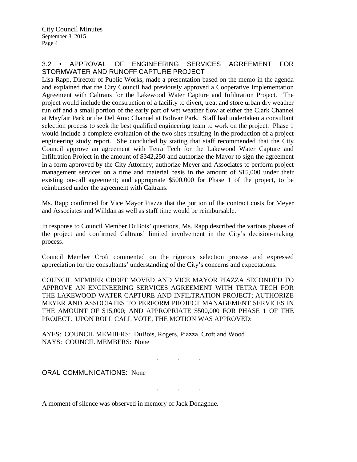## 3.2 • APPROVAL OF ENGINEERING SERVICES AGREEMENT FOR STORMWATER AND RUNOFF CAPTURE PROJECT

Lisa Rapp, Director of Public Works, made a presentation based on the memo in the agenda and explained that the City Council had previously approved a Cooperative Implementation Agreement with Caltrans for the Lakewood Water Capture and Infiltration Project. The project would include the construction of a facility to divert, treat and store urban dry weather run off and a small portion of the early part of wet weather flow at either the Clark Channel at Mayfair Park or the Del Amo Channel at Bolivar Park. Staff had undertaken a consultant selection process to seek the best qualified engineering team to work on the project. Phase 1 would include a complete evaluation of the two sites resulting in the production of a project engineering study report. She concluded by stating that staff recommended that the City Council approve an agreement with Tetra Tech for the Lakewood Water Capture and Infiltration Project in the amount of \$342,250 and authorize the Mayor to sign the agreement in a form approved by the City Attorney; authorize Meyer and Associates to perform project management services on a time and material basis in the amount of \$15,000 under their existing on-call agreement; and appropriate \$500,000 for Phase 1 of the project, to be reimbursed under the agreement with Caltrans.

Ms. Rapp confirmed for Vice Mayor Piazza that the portion of the contract costs for Meyer and Associates and Willdan as well as staff time would be reimbursable.

In response to Council Member DuBois' questions, Ms. Rapp described the various phases of the project and confirmed Caltrans' limited involvement in the City's decision-making process.

Council Member Croft commented on the rigorous selection process and expressed appreciation for the consultants' understanding of the City's concerns and expectations.

COUNCIL MEMBER CROFT MOVED AND VICE MAYOR PIAZZA SECONDED TO APPROVE AN ENGINEERING SERVICES AGREEMENT WITH TETRA TECH FOR THE LAKEWOOD WATER CAPTURE AND INFILTRATION PROJECT; AUTHORIZE MEYER AND ASSOCIATES TO PERFORM PROJECT MANAGEMENT SERVICES IN THE AMOUNT OF \$15,000; AND APPROPRIATE \$500,000 FOR PHASE 1 OF THE PROJECT. UPON ROLL CALL VOTE, THE MOTION WAS APPROVED:

. . .

. . .

AYES: COUNCIL MEMBERS: DuBois, Rogers, Piazza, Croft and Wood NAYS: COUNCIL MEMBERS: None

ORAL COMMUNICATIONS: None

A moment of silence was observed in memory of Jack Donaghue.